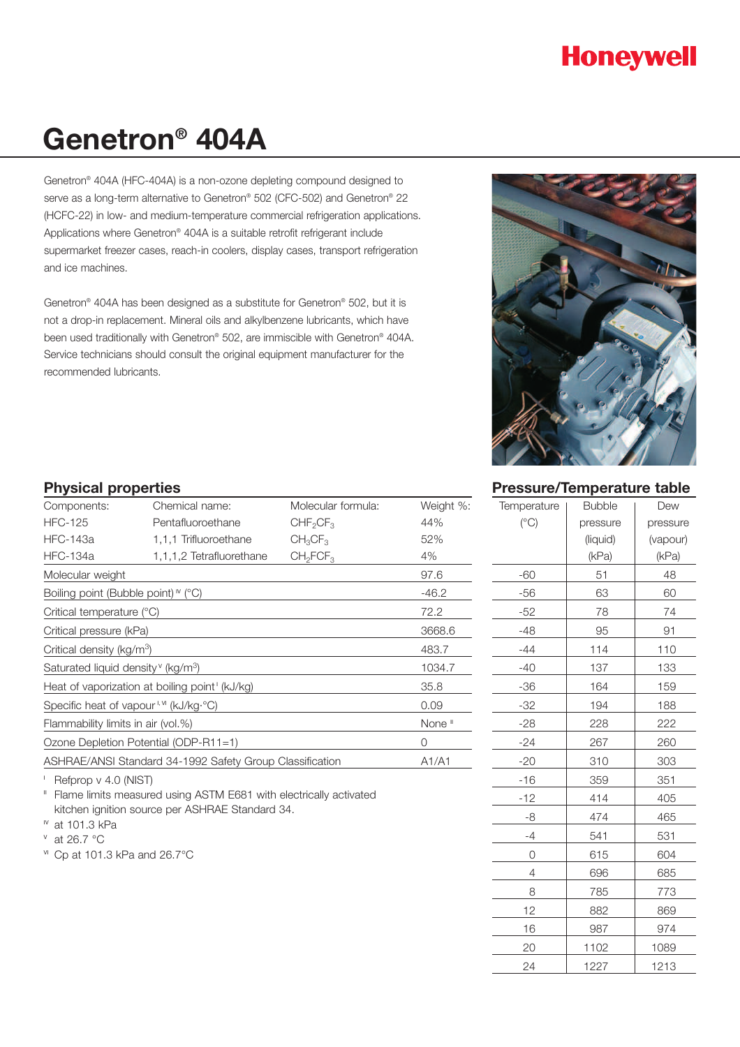# **Honeywell**

# **Genetron® 404A**

Genetron® 404A (HFC-404A) is a non-ozone depleting compound designed to serve as a long-term alternative to Genetron® 502 (CFC-502) and Genetron® 22 (HCFC-22) in low- and medium-temperature commercial refrigeration applications. Applications where Genetron® 404A is a suitable retrofit refrigerant include supermarket freezer cases, reach-in coolers, display cases, transport refrigeration and ice machines.

Genetron® 404A has been designed as a substitute for Genetron® 502, but it is not a drop-in replacement. Mineral oils and alkylbenzene lubricants, which have been used traditionally with Genetron® 502, are immiscible with Genetron® 404A. Service technicians should consult the original equipment manufacturer for the recommended lubricants.



# **Pressure/Temperature table**

| Temperature   | <b>Bubble</b> | Dew      |
|---------------|---------------|----------|
| $(^{\circ}C)$ | pressure      | pressure |
|               | (liquid)      | (vapour) |
|               | (kPa)         | (kPa)    |
| $-60$         | 51            | 48       |
| $-56$         | 63            | 60       |
| $-52$         | 78            | 74       |
| -48           | 95            | 91       |
| -44           | 114           | 110      |
| $-40$         | 137           | 133      |
| $-36$         | 164           | 159      |
| $-32$         | 194           | 188      |
| $-28$         | 228           | 222      |
| $-24$         | 267           | 260      |
| $-20$         | 310           | 303      |
| $-16$         | 359           | 351      |
| $-12$         | 414           | 405      |
| -8            | 474           | 465      |
| $-4$          | 541           | 531      |
| 0             | 615           | 604      |
| 4             | 696           | 685      |
| 8             | 785           | 773      |
| 12            | 882           | 869      |
| 16            | 987           | 974      |
| 20            | 1102          | 1089     |
| 24            | 1227          | 1213     |

#### **Physical properties**

| Components:                                              | Chemical name:           | Molecular formula:               | Weight %: |
|----------------------------------------------------------|--------------------------|----------------------------------|-----------|
| <b>HFC-125</b>                                           | Pentafluoroethane        | CHF <sub>2</sub> CF <sub>3</sub> | 44%       |
| HFC-143a                                                 | 1,1,1 Trifluoroethane    | $CH_3CF_3$                       | 52%       |
| <b>HFC-134a</b>                                          | 1,1,1,2 Tetrafluorethane | CH <sub>2</sub> FCF <sub>3</sub> | 4%        |
| Molecular weight                                         |                          |                                  | 97.6      |
| Boiling point (Bubble point) $\sqrt{\ }$ (°C)            | $-46.2$                  |                                  |           |
| Critical temperature (°C)                                | 72.2                     |                                  |           |
| Critical pressure (kPa)                                  | 3668.6                   |                                  |           |
| Critical density (kg/m <sup>3</sup> )                    |                          |                                  | 483.7     |
| Saturated liquid density (kg/m <sup>3</sup> )            | 1034.7                   |                                  |           |
| Heat of vaporization at boiling point (kJ/kg)            | 35.8                     |                                  |           |
| Specific heat of vapour <sup>1, VI</sup> (kJ/kg·°C)      | 0.09                     |                                  |           |
| Flammability limits in air (vol.%)                       | None <sup>"</sup>        |                                  |           |
| Ozone Depletion Potential (ODP-R11=1)                    | $\Omega$                 |                                  |           |
| ASHRAE/ANSI Standard 34-1992 Safety Group Classification | A1/A1                    |                                  |           |

<sup>1</sup> Refprop v 4.0 (NIST)

<sup>"</sup> Flame limits measured using ASTM E681 with electrically activated kitchen ignition source per ASHRAE Standard 34.

 $W$  at 101.3 kPa

 $\textdegree$  at 26.7  $\textdegree$ C

v<sup>1</sup> Cp at 101.3 kPa and 26.7°C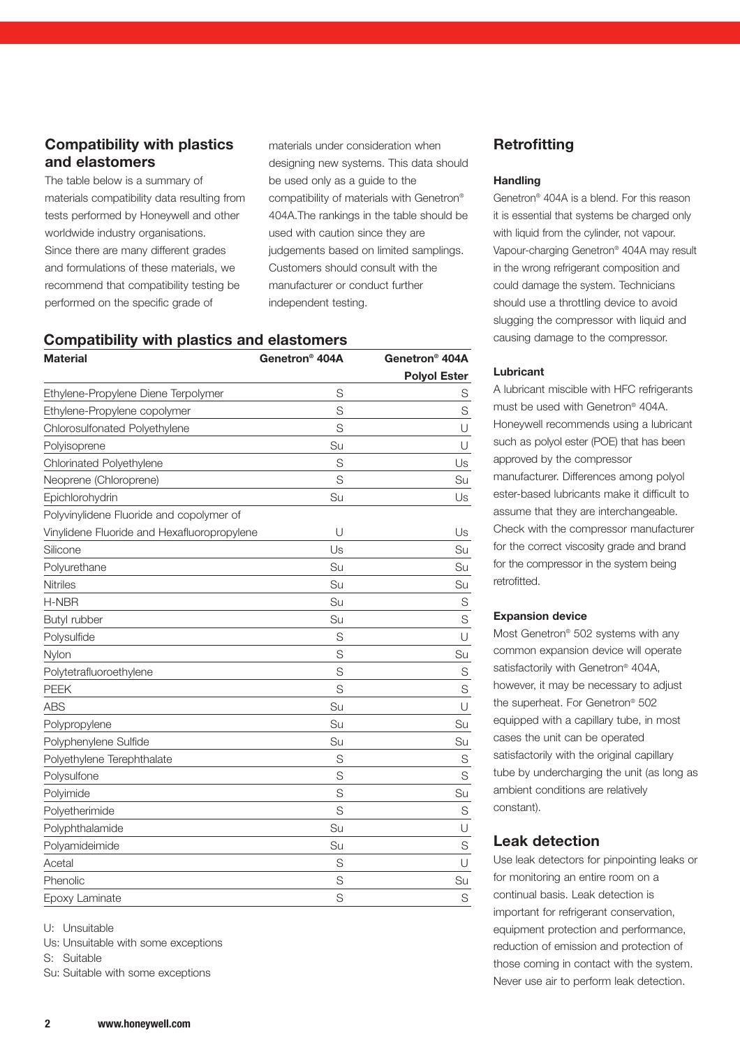# **Compatibility with plastics and elastomers**

The table below is a summary of materials compatibility data resulting from tests performed by Honeywell and other worldwide industry organisations. Since there are many different grades and formulations of these materials, we recommend that compatibility testing be performed on the specific grade of

materials under consideration when designing new systems. This data should be used only as a guide to the compatibility of materials with Genetron® 404A.The rankings in the table should be used with caution since they are judgements based on limited samplings. Customers should consult with the manufacturer or conduct further independent testing.

#### **Compatibility with plastics and elastomers**

| <b>Material</b>                             | Genetron <sup>®</sup> 404A | Genetron <sup>®</sup> 404A |
|---------------------------------------------|----------------------------|----------------------------|
|                                             |                            | <b>Polyol Ester</b>        |
| Ethylene-Propylene Diene Terpolymer         | S                          | S                          |
| Ethylene-Propylene copolymer                | S                          | S                          |
| Chlorosulfonated Polyethylene               | S                          | U                          |
| Polyisoprene                                | Su                         | U                          |
| Chlorinated Polyethylene                    | S                          | Us                         |
| Neoprene (Chloroprene)                      | S                          | Su                         |
| Epichlorohydrin                             | Su                         | Us                         |
| Polyvinylidene Fluoride and copolymer of    |                            |                            |
| Vinylidene Fluoride and Hexafluoropropylene | U                          | Us                         |
| Silicone                                    | Us                         | Su                         |
| Polyurethane                                | Su                         | Su                         |
| Nitriles                                    | Su                         | Su                         |
| H-NBR                                       | Su                         | S                          |
| Butyl rubber                                | Su                         | S                          |
| Polysulfide                                 | S                          | U                          |
| Nylon                                       | S                          | Su                         |
| Polytetrafluoroethylene                     | S                          | S                          |
| <b>PEEK</b>                                 | S                          | S                          |
| <b>ABS</b>                                  | Su                         | $\cup$                     |
| Polypropylene                               | Su                         | Su                         |
| Polyphenylene Sulfide                       | Su                         | Su                         |
| Polyethylene Terephthalate                  | S                          | S                          |
| Polysulfone                                 | S                          | S                          |
| Polyimide                                   | S                          | Su                         |
| Polyetherimide                              | S                          | S                          |
| Polyphthalamide                             | Su                         | $\cup$                     |
| Polyamideimide                              | Su                         | S                          |
| Acetal                                      | S                          | $\cup$                     |
| Phenolic                                    | S                          | Su                         |
| Epoxy Laminate                              | S                          | S                          |

U: Unsuitable

Us: Unsuitable with some exceptions

S: Suitable

Su: Suitable with some exceptions

# **Retrofitting**

#### **Handling**

Genetron® 404A is a blend. For this reason it is essential that systems be charged only with liquid from the cylinder, not vapour. Vapour-charging Genetron® 404A may result in the wrong refrigerant composition and could damage the system. Technicians should use a throttling device to avoid slugging the compressor with liquid and causing damage to the compressor.

#### **Lubricant**

A lubricant miscible with HFC refrigerants must be used with Genetron® 404A. Honeywell recommends using a lubricant such as polyol ester (POE) that has been approved by the compressor manufacturer. Differences among polyol ester-based lubricants make it difficult to assume that they are interchangeable. Check with the compressor manufacturer for the correct viscosity grade and brand for the compressor in the system being retrofitted.

#### **Expansion device**

Most Genetron® 502 systems with any common expansion device will operate satisfactorily with Genetron<sup>®</sup> 404A, however, it may be necessary to adjust the superheat. For Genetron® 502 equipped with a capillary tube, in most cases the unit can be operated satisfactorily with the original capillary tube by undercharging the unit (as long as ambient conditions are relatively constant).

# **Leak detection**

Use leak detectors for pinpointing leaks or for monitoring an entire room on a continual basis. Leak detection is important for refrigerant conservation, equipment protection and performance, reduction of emission and protection of those coming in contact with the system. Never use air to perform leak detection.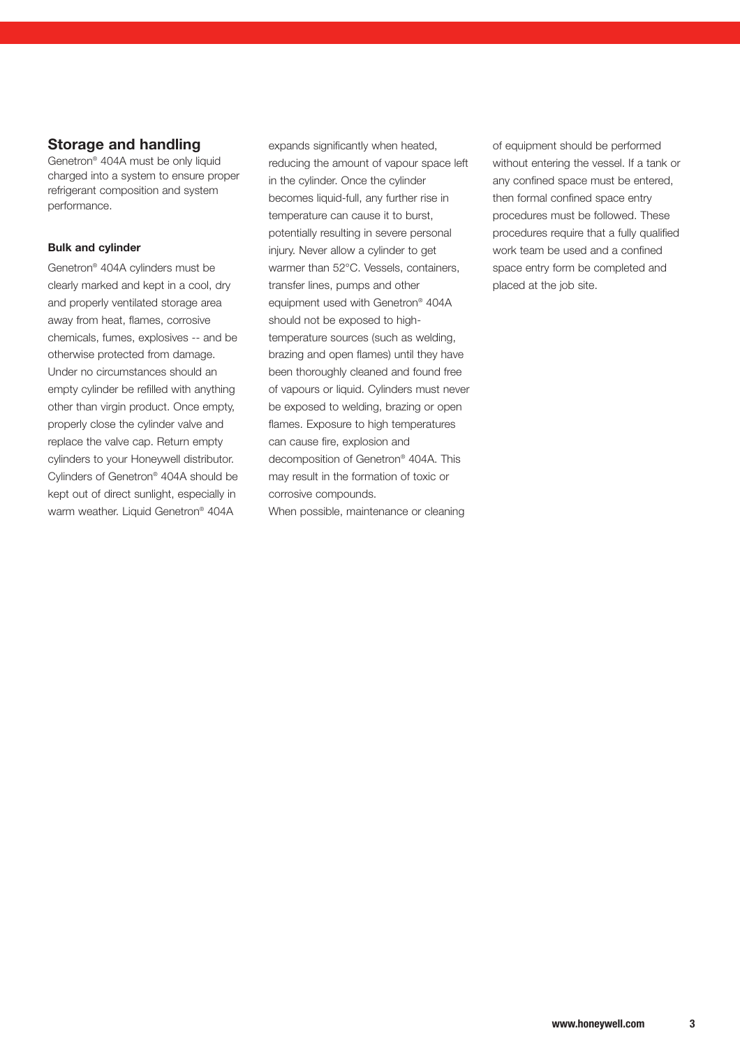# **Storage and handling**

Genetron® 404A must be only liquid charged into a system to ensure proper refrigerant composition and system performance.

#### **Bulk and cylinder**

Genetron® 404A cylinders must be clearly marked and kept in a cool, dry and properly ventilated storage area away from heat, flames, corrosive chemicals, fumes, explosives -- and be otherwise protected from damage. Under no circumstances should an empty cylinder be refilled with anything other than virgin product. Once empty, properly close the cylinder valve and replace the valve cap. Return empty cylinders to your Honeywell distributor. Cylinders of Genetron® 404A should be kept out of direct sunlight, especially in warm weather. Liquid Genetron® 404A

expands significantly when heated, reducing the amount of vapour space left in the cylinder. Once the cylinder becomes liquid-full, any further rise in temperature can cause it to burst, potentially resulting in severe personal injury. Never allow a cylinder to get warmer than 52°C. Vessels, containers, transfer lines, pumps and other equipment used with Genetron® 404A should not be exposed to hightemperature sources (such as welding, brazing and open flames) until they have been thoroughly cleaned and found free of vapours or liquid. Cylinders must never be exposed to welding, brazing or open flames. Exposure to high temperatures can cause fire, explosion and decomposition of Genetron® 404A. This may result in the formation of toxic or corrosive compounds. When possible, maintenance or cleaning

of equipment should be performed without entering the vessel. If a tank or any confined space must be entered, then formal confined space entry procedures must be followed. These procedures require that a fully qualified work team be used and a confined space entry form be completed and placed at the job site.